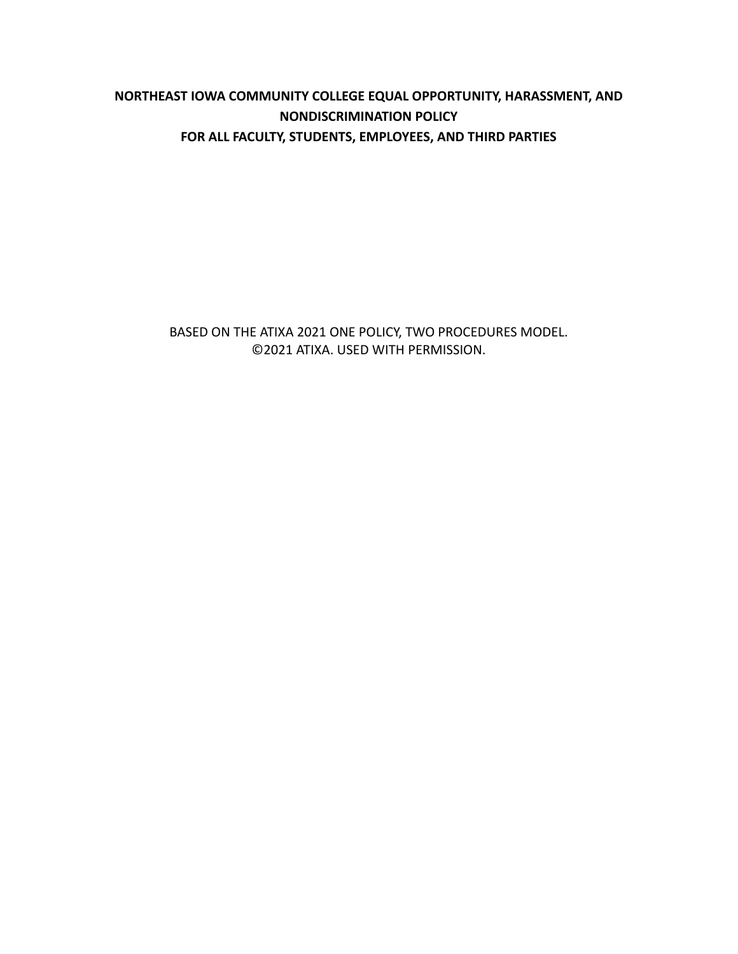# **NORTHEAST IOWA COMMUNITY COLLEGE EQUAL OPPORTUNITY, HARASSMENT, AND NONDISCRIMINATION POLICY FOR ALL FACULTY, STUDENTS, EMPLOYEES, AND THIRD PARTIES**

BASED ON THE ATIXA 2021 ONE POLICY, TWO PROCEDURES MODEL. ©2021 ATIXA. USED WITH PERMISSION.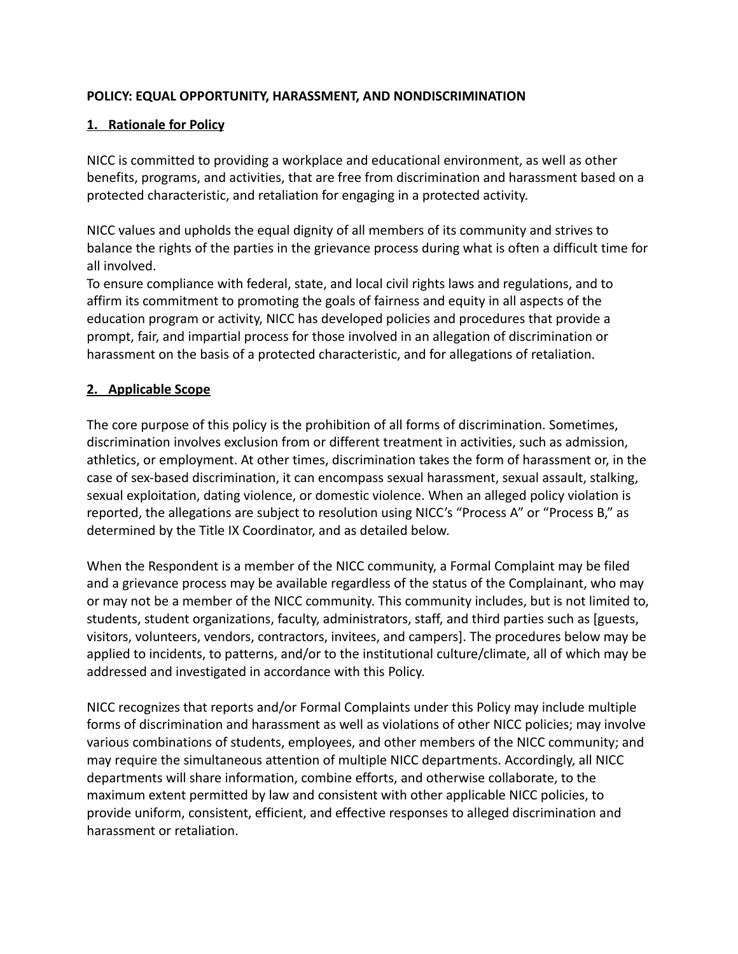## **POLICY: EQUAL OPPORTUNITY, HARASSMENT, AND NONDISCRIMINATION**

### **1. Rationale for Policy**

NICC is committed to providing a workplace and educational environment, as well as other benefits, programs, and activities, that are free from discrimination and harassment based on a protected characteristic, and retaliation for engaging in a protected activity.

NICC values and upholds the equal dignity of all members of its community and strives to balance the rights of the parties in the grievance process during what is often a difficult time for all involved.

To ensure compliance with federal, state, and local civil rights laws and regulations, and to affirm its commitment to promoting the goals of fairness and equity in all aspects of the education program or activity, NICC has developed policies and procedures that provide a prompt, fair, and impartial process for those involved in an allegation of discrimination or harassment on the basis of a protected characteristic, and for allegations of retaliation.

### **2. Applicable Scope**

The core purpose of this policy is the prohibition of all forms of discrimination. Sometimes, discrimination involves exclusion from or different treatment in activities, such as admission, athletics, or employment. At other times, discrimination takes the form of harassment or, in the case of sex-based discrimination, it can encompass sexual harassment, sexual assault, stalking, sexual exploitation, dating violence, or domestic violence. When an alleged policy violation is reported, the allegations are subject to resolution using NICC's "Process A" or "Process B," as determined by the Title IX Coordinator, and as detailed below.

When the Respondent is a member of the NICC community, a Formal Complaint may be filed and a grievance process may be available regardless of the status of the Complainant, who may or may not be a member of the NICC community. This community includes, but is not limited to, students, student organizations, faculty, administrators, staff, and third parties such as [guests, visitors, volunteers, vendors, contractors, invitees, and campers]. The procedures below may be applied to incidents, to patterns, and/or to the institutional culture/climate, all of which may be addressed and investigated in accordance with this Policy.

NICC recognizes that reports and/or Formal Complaints under this Policy may include multiple forms of discrimination and harassment as well as violations of other NICC policies; may involve various combinations of students, employees, and other members of the NICC community; and may require the simultaneous attention of multiple NICC departments. Accordingly, all NICC departments will share information, combine efforts, and otherwise collaborate, to the maximum extent permitted by law and consistent with other applicable NICC policies, to provide uniform, consistent, efficient, and effective responses to alleged discrimination and harassment or retaliation.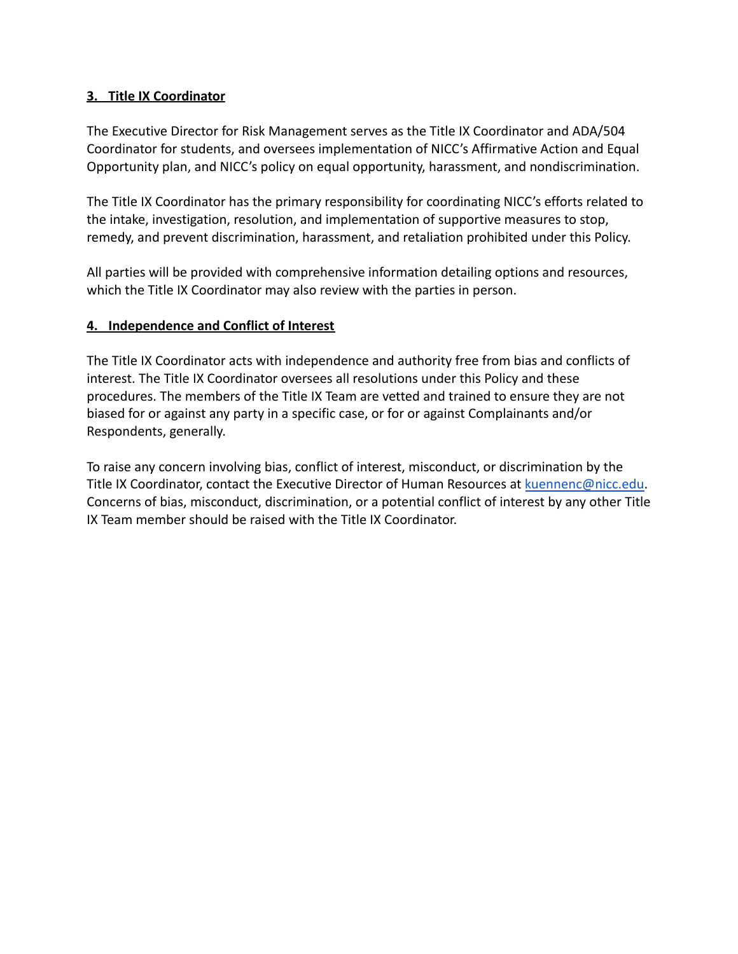### **3. Title IX Coordinator**

The Executive Director for Risk Management serves as the Title IX Coordinator and ADA/504 Coordinator for students, and oversees implementation of NICC's Affirmative Action and Equal Opportunity plan, and NICC's policy on equal opportunity, harassment, and nondiscrimination.

The Title IX Coordinator has the primary responsibility for coordinating NICC's efforts related to the intake, investigation, resolution, and implementation of supportive measures to stop, remedy, and prevent discrimination, harassment, and retaliation prohibited under this Policy.

All parties will be provided with comprehensive information detailing options and resources, which the Title IX Coordinator may also review with the parties in person.

### **4. Independence and Conflict of Interest**

The Title IX Coordinator acts with independence and authority free from bias and conflicts of interest. The Title IX Coordinator oversees all resolutions under this Policy and these procedures. The members of the Title IX Team are vetted and trained to ensure they are not biased for or against any party in a specific case, or for or against Complainants and/or Respondents, generally.

To raise any concern involving bias, conflict of interest, misconduct, or discrimination by the Title IX Coordinator, contact the Executive Director of Human Resources at [kuennenc@nicc.edu.](mailto:kuennenc@nicc.edu) Concerns of bias, misconduct, discrimination, or a potential conflict of interest by any other Title IX Team member should be raised with the Title IX Coordinator.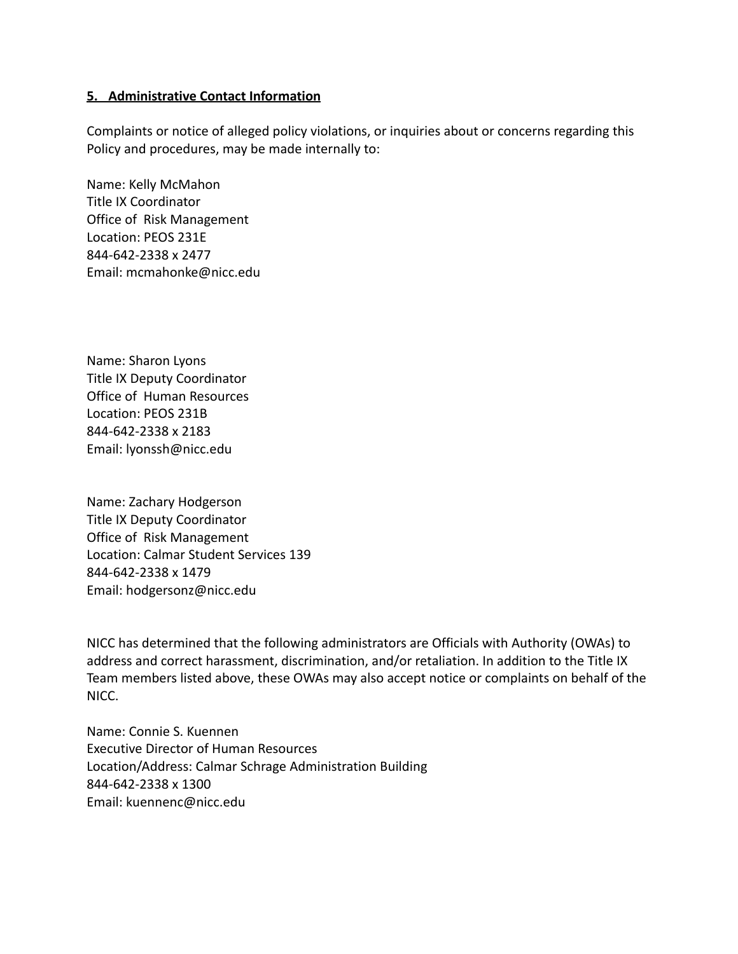#### **5. Administrative Contact Information**

Complaints or notice of alleged policy violations, or inquiries about or concerns regarding this Policy and procedures, may be made internally to:

Name: Kelly McMahon Title IX Coordinator Office of Risk Management Location: PEOS 231E 844-642-2338 x 2477 Email: mcmahonke@nicc.edu

Name: Sharon Lyons Title IX Deputy Coordinator Office of Human Resources Location: PEOS 231B 844-642-2338 x 2183 Email: lyonssh@nicc.edu

Name: Zachary Hodgerson Title IX Deputy Coordinator Office of Risk Management Location: Calmar Student Services 139 844-642-2338 x 1479 Email: hodgersonz@nicc.edu

NICC has determined that the following administrators are Officials with Authority (OWAs) to address and correct harassment, discrimination, and/or retaliation. In addition to the Title IX Team members listed above, these OWAs may also accept notice or complaints on behalf of the NICC.

Name: Connie S. Kuennen Executive Director of Human Resources Location/Address: Calmar Schrage Administration Building 844-642-2338 x 1300 Email: kuennenc@nicc.edu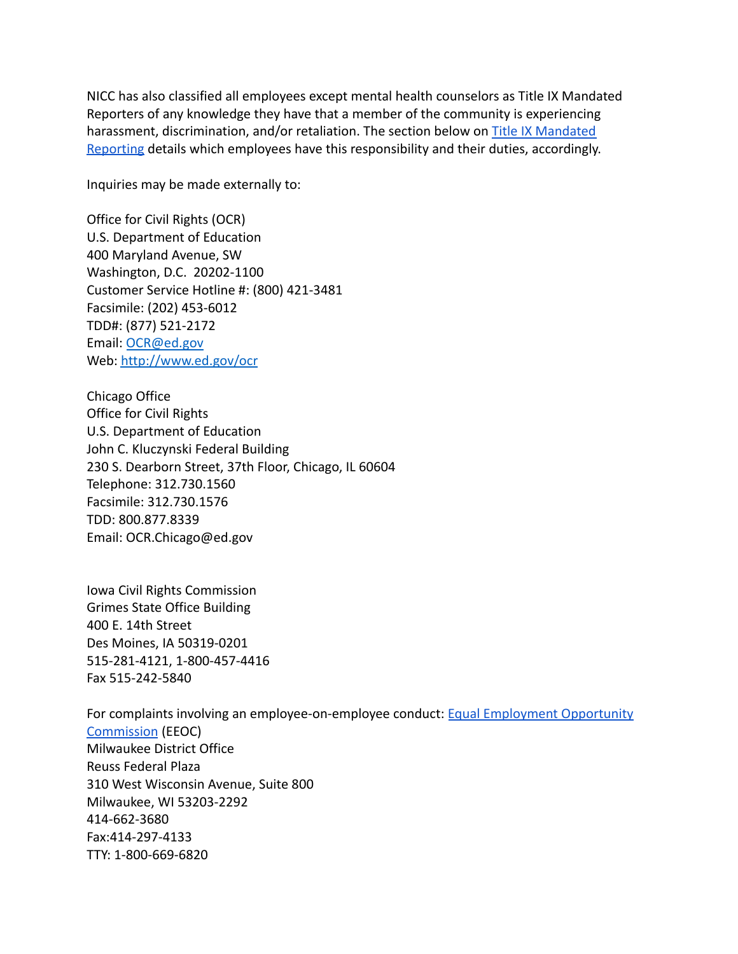NICC has also classified all employees except mental health counselors as Title IX Mandated Reporters of any knowledge they have that a member of the community is experiencing harassment, discrimination, and/or retaliation. The section below on [Title IX Mandated](#page-21-0) [Reporting](#page-21-0) details which employees have this responsibility and their duties, accordingly.

Inquiries may be made externally to:

Office for Civil Rights (OCR) U.S. Department of Education 400 Maryland Avenue, SW Washington, D.C. 20202-1100 Customer Service Hotline #: (800) 421-3481 Facsimile: (202) 453-6012 TDD#: (877) 521-2172 Email: [OCR@ed.gov](mailto:OCR@ed.gov) Web: <http://www.ed.gov/ocr>

Chicago Office Office for Civil Rights U.S. Department of Education John C. Kluczynski Federal Building 230 S. Dearborn Street, 37th Floor, Chicago, IL 60604 Telephone: 312.730.1560 Facsimile: 312.730.1576 TDD: 800.877.8339 Email: OCR.Chicago@ed.gov

Iowa Civil Rights Commission Grimes State Office Building 400 E. 14th Street Des Moines, IA 50319-0201 515-281-4121, 1-800-457-4416 Fax 515-242-5840

For complaints involving an employee-on-employee conduct: [Equal Employment Opportunity](https://www.eeoc.gov/contact-eeoc) [Commission](https://www.eeoc.gov/contact-eeoc) (EEOC) Milwaukee District Office Reuss Federal Plaza 310 West Wisconsin Avenue, Suite 800 Milwaukee, WI 53203-2292 414-662-3680 Fax:414-297-4133 TTY: 1-800-669-6820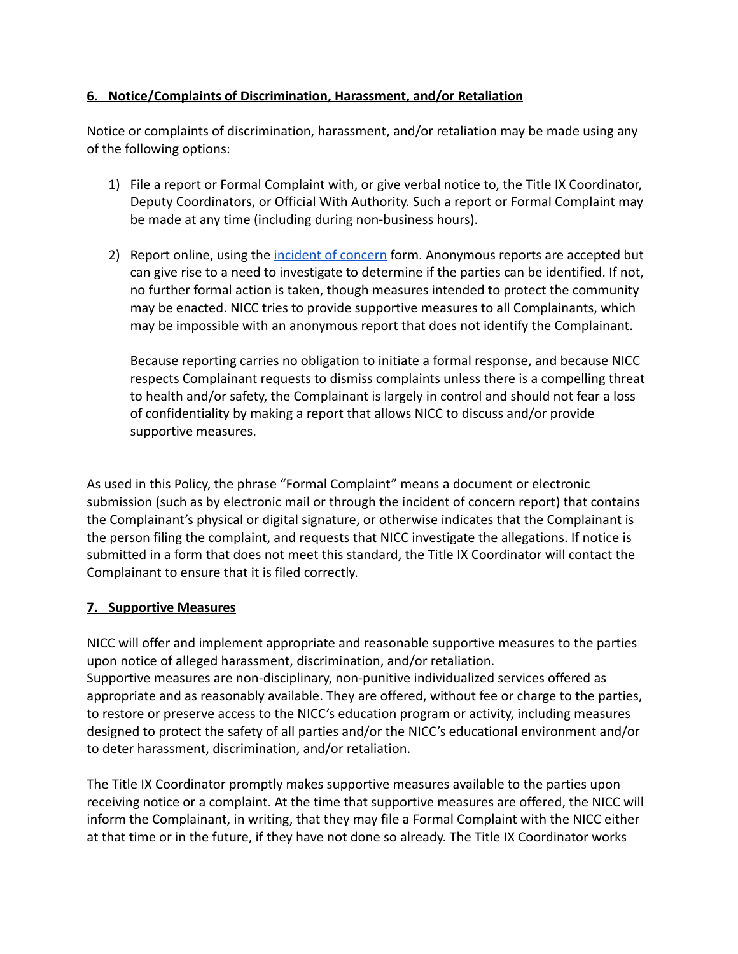# **6. Notice/Complaints of Discrimination, Harassment, and/or Retaliation**

Notice or complaints of discrimination, harassment, and/or retaliation may be made using any of the following options:

- 1) File a report or Formal Complaint with, or give verbal notice to, the Title IX Coordinator, Deputy Coordinators, or Official With Authority. Such a report or Formal Complaint may be made at any time (including during non-business hours).
- 2) Report online, using the [incident of concern](https://cm.maxient.com/reportingform.php?NortheastIowaCC) form. Anonymous reports are accepted but can give rise to a need to investigate to determine if the parties can be identified. If not, no further formal action is taken, though measures intended to protect the community may be enacted. NICC tries to provide supportive measures to all Complainants, which may be impossible with an anonymous report that does not identify the Complainant.

Because reporting carries no obligation to initiate a formal response, and because NICC respects Complainant requests to dismiss complaints unless there is a compelling threat to health and/or safety, the Complainant is largely in control and should not fear a loss of confidentiality by making a report that allows NICC to discuss and/or provide supportive measures.

As used in this Policy, the phrase "Formal Complaint" means a document or electronic submission (such as by electronic mail or through the incident of concern report) that contains the Complainant's physical or digital signature, or otherwise indicates that the Complainant is the person filing the complaint, and requests that NICC investigate the allegations. If notice is submitted in a form that does not meet this standard, the Title IX Coordinator will contact the Complainant to ensure that it is filed correctly.

#### **7. Supportive Measures**

NICC will offer and implement appropriate and reasonable supportive measures to the parties upon notice of alleged harassment, discrimination, and/or retaliation. Supportive measures are non-disciplinary, non-punitive individualized services offered as appropriate and as reasonably available. They are offered, without fee or charge to the parties, to restore or preserve access to the NICC's education program or activity, including measures designed to protect the safety of all parties and/or the NICC's educational environment and/or to deter harassment, discrimination, and/or retaliation.

The Title IX Coordinator promptly makes supportive measures available to the parties upon receiving notice or a complaint. At the time that supportive measures are offered, the NICC will inform the Complainant, in writing, that they may file a Formal Complaint with the NICC either at that time or in the future, if they have not done so already. The Title IX Coordinator works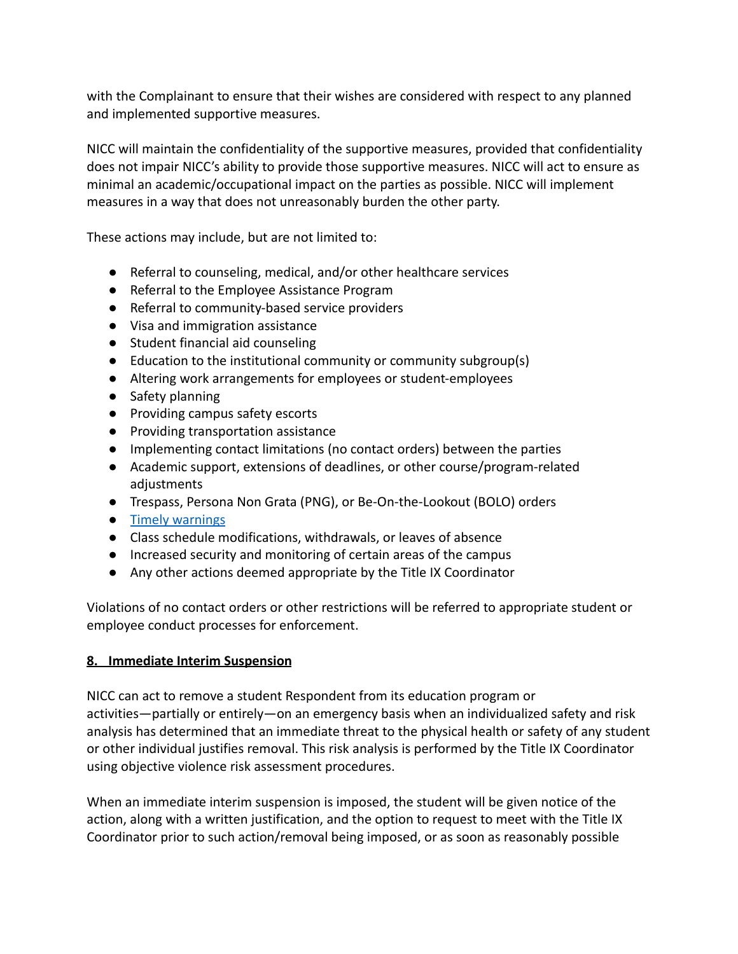with the Complainant to ensure that their wishes are considered with respect to any planned and implemented supportive measures.

NICC will maintain the confidentiality of the supportive measures, provided that confidentiality does not impair NICC's ability to provide those supportive measures. NICC will act to ensure as minimal an academic/occupational impact on the parties as possible. NICC will implement measures in a way that does not unreasonably burden the other party.

These actions may include, but are not limited to:

- Referral to counseling, medical, and/or other healthcare services
- Referral to the Employee Assistance Program
- Referral to community-based service providers
- Visa and immigration assistance
- Student financial aid counseling
- Education to the institutional community or community subgroup(s)
- Altering work arrangements for employees or student-employees
- Safety planning
- Providing campus safety escorts
- Providing transportation assistance
- Implementing contact limitations (no contact orders) between the parties
- Academic support, extensions of deadlines, or other course/program-related adjustments
- Trespass, Persona Non Grata (PNG), or Be-On-the-Lookout (BOLO) orders
- [Timely warnings](https://clerycenter.org/wp-content/uploads/2021/08/NCSAM18_Timely-Warning-Guide.pdf)
- Class schedule modifications, withdrawals, or leaves of absence
- Increased security and monitoring of certain areas of the campus
- Any other actions deemed appropriate by the Title IX Coordinator

Violations of no contact orders or other restrictions will be referred to appropriate student or employee conduct processes for enforcement.

# **8. Immediate Interim Suspension**

NICC can act to remove a student Respondent from its education program or activities—partially or entirely—on an emergency basis when an individualized safety and risk analysis has determined that an immediate threat to the physical health or safety of any student or other individual justifies removal. This risk analysis is performed by the Title IX Coordinator using objective violence risk assessment procedures.

When an immediate interim suspension is imposed, the student will be given notice of the action, along with a written justification, and the option to request to meet with the Title IX Coordinator prior to such action/removal being imposed, or as soon as reasonably possible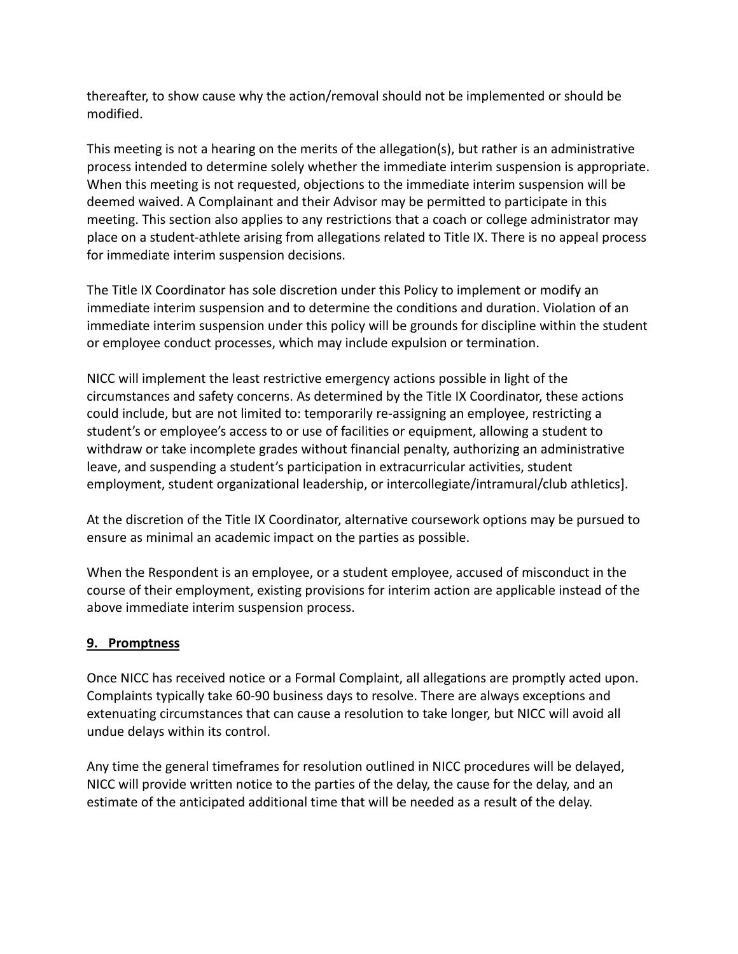thereafter, to show cause why the action/removal should not be implemented or should be modified.

This meeting is not a hearing on the merits of the allegation(s), but rather is an administrative process intended to determine solely whether the immediate interim suspension is appropriate. When this meeting is not requested, objections to the immediate interim suspension will be deemed waived. A Complainant and their Advisor may be permitted to participate in this meeting. This section also applies to any restrictions that a coach or college administrator may place on a student-athlete arising from allegations related to Title IX. There is no appeal process for immediate interim suspension decisions.

The Title IX Coordinator has sole discretion under this Policy to implement or modify an immediate interim suspension and to determine the conditions and duration. Violation of an immediate interim suspension under this policy will be grounds for discipline within the student or employee conduct processes, which may include expulsion or termination.

NICC will implement the least restrictive emergency actions possible in light of the circumstances and safety concerns. As determined by the Title IX Coordinator, these actions could include, but are not limited to: temporarily re-assigning an employee, restricting a student's or employee's access to or use of facilities or equipment, allowing a student to withdraw or take incomplete grades without financial penalty, authorizing an administrative leave, and suspending a student's participation in extracurricular activities, student employment, student organizational leadership, or intercollegiate/intramural/club athletics].

At the discretion of the Title IX Coordinator, alternative coursework options may be pursued to ensure as minimal an academic impact on the parties as possible.

When the Respondent is an employee, or a student employee, accused of misconduct in the course of their employment, existing provisions for interim action are applicable instead of the above immediate interim suspension process.

# **9. Promptness**

Once NICC has received notice or a Formal Complaint, all allegations are promptly acted upon. Complaints typically take 60-90 business days to resolve. There are always exceptions and extenuating circumstances that can cause a resolution to take longer, but NICC will avoid all undue delays within its control.

Any time the general timeframes for resolution outlined in NICC procedures will be delayed, NICC will provide written notice to the parties of the delay, the cause for the delay, and an estimate of the anticipated additional time that will be needed as a result of the delay.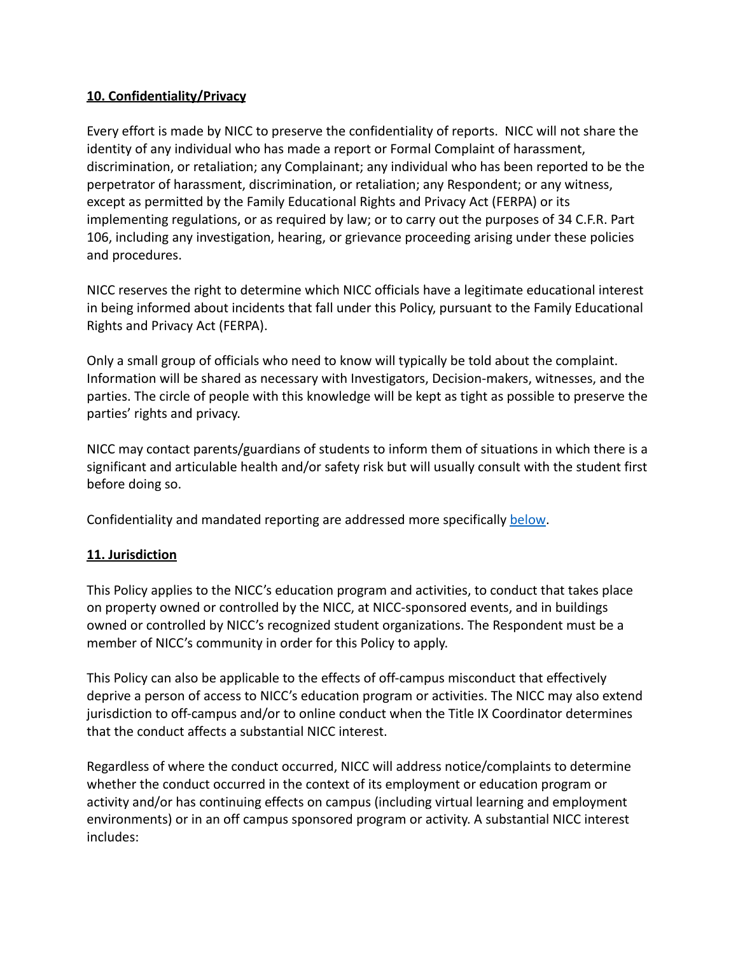## **10. Confidentiality/Privacy**

Every effort is made by NICC to preserve the confidentiality of reports. NICC will not share the identity of any individual who has made a report or Formal Complaint of harassment, discrimination, or retaliation; any Complainant; any individual who has been reported to be the perpetrator of harassment, discrimination, or retaliation; any Respondent; or any witness, except as permitted by the Family Educational Rights and Privacy Act (FERPA) or its implementing regulations, or as required by law; or to carry out the purposes of 34 C.F.R. Part 106, including any investigation, hearing, or grievance proceeding arising under these policies and procedures.

NICC reserves the right to determine which NICC officials have a legitimate educational interest in being informed about incidents that fall under this Policy, pursuant to the Family Educational Rights and Privacy Act (FERPA).

Only a small group of officials who need to know will typically be told about the complaint. Information will be shared as necessary with Investigators, Decision-makers, witnesses, and the parties. The circle of people with this knowledge will be kept as tight as possible to preserve the parties' rights and privacy.

NICC may contact parents/guardians of students to inform them of situations in which there is a significant and articulable health and/or safety risk but will usually consult with the student first before doing so.

Confidentiality and mandated reporting are addressed more specifically [below](#page-21-0).

# **11. Jurisdiction**

This Policy applies to the NICC's education program and activities, to conduct that takes place on property owned or controlled by the NICC, at NICC-sponsored events, and in buildings owned or controlled by NICC's recognized student organizations. The Respondent must be a member of NICC's community in order for this Policy to apply.

This Policy can also be applicable to the effects of off-campus misconduct that effectively deprive a person of access to NICC's education program or activities. The NICC may also extend jurisdiction to off-campus and/or to online conduct when the Title IX Coordinator determines that the conduct affects a substantial NICC interest.

Regardless of where the conduct occurred, NICC will address notice/complaints to determine whether the conduct occurred in the context of its employment or education program or activity and/or has continuing effects on campus (including virtual learning and employment environments) or in an off campus sponsored program or activity. A substantial NICC interest includes: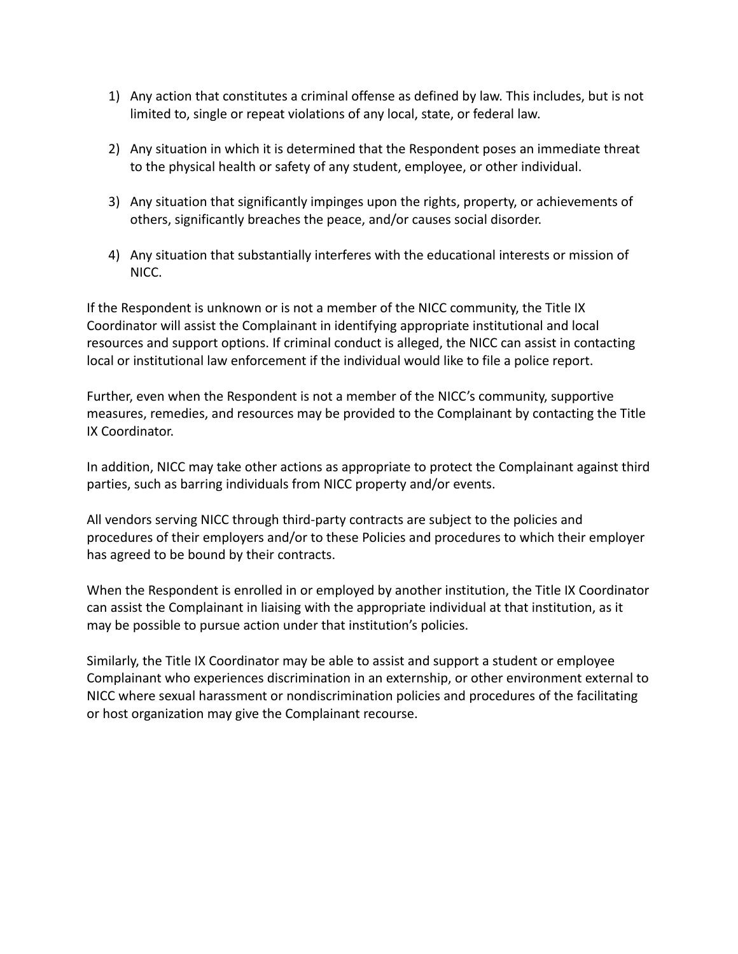- 1) Any action that constitutes a criminal offense as defined by law. This includes, but is not limited to, single or repeat violations of any local, state, or federal law.
- 2) Any situation in which it is determined that the Respondent poses an immediate threat to the physical health or safety of any student, employee, or other individual.
- 3) Any situation that significantly impinges upon the rights, property, or achievements of others, significantly breaches the peace, and/or causes social disorder.
- 4) Any situation that substantially interferes with the educational interests or mission of NICC.

If the Respondent is unknown or is not a member of the NICC community, the Title IX Coordinator will assist the Complainant in identifying appropriate institutional and local resources and support options. If criminal conduct is alleged, the NICC can assist in contacting local or institutional law enforcement if the individual would like to file a police report.

Further, even when the Respondent is not a member of the NICC's community, supportive measures, remedies, and resources may be provided to the Complainant by contacting the Title IX Coordinator.

In addition, NICC may take other actions as appropriate to protect the Complainant against third parties, such as barring individuals from NICC property and/or events.

All vendors serving NICC through third-party contracts are subject to the policies and procedures of their employers and/or to these Policies and procedures to which their employer has agreed to be bound by their contracts.

When the Respondent is enrolled in or employed by another institution, the Title IX Coordinator can assist the Complainant in liaising with the appropriate individual at that institution, as it may be possible to pursue action under that institution's policies.

Similarly, the Title IX Coordinator may be able to assist and support a student or employee Complainant who experiences discrimination in an externship, or other environment external to NICC where sexual harassment or nondiscrimination policies and procedures of the facilitating or host organization may give the Complainant recourse.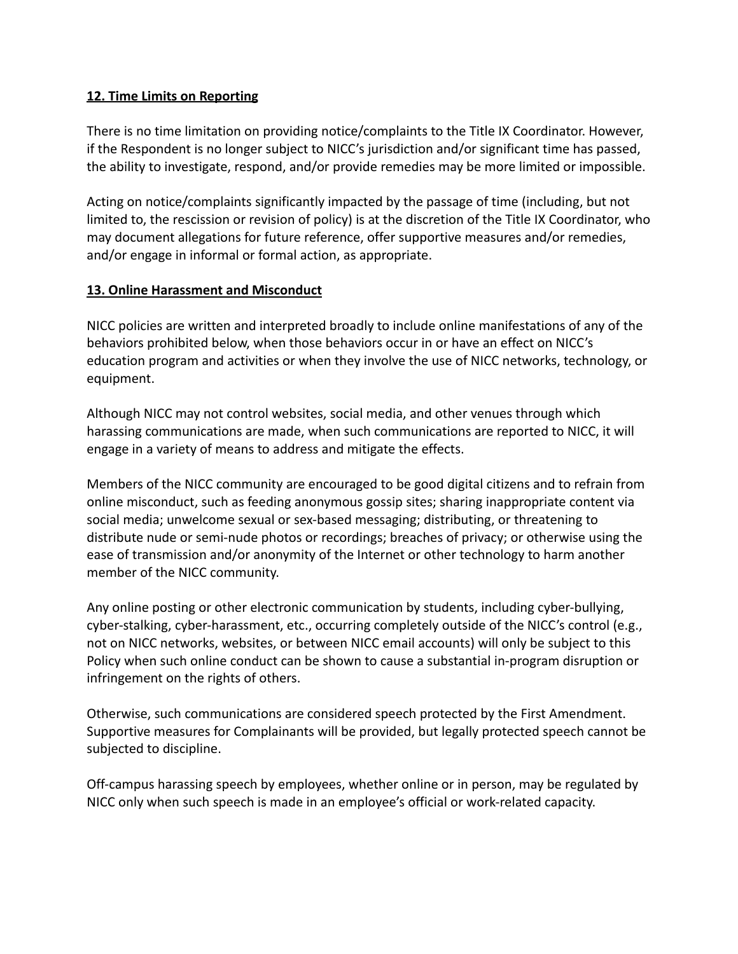### **12. Time Limits on Reporting**

There is no time limitation on providing notice/complaints to the Title IX Coordinator. However, if the Respondent is no longer subject to NICC's jurisdiction and/or significant time has passed, the ability to investigate, respond, and/or provide remedies may be more limited or impossible.

Acting on notice/complaints significantly impacted by the passage of time (including, but not limited to, the rescission or revision of policy) is at the discretion of the Title IX Coordinator, who may document allegations for future reference, offer supportive measures and/or remedies, and/or engage in informal or formal action, as appropriate.

#### **13. Online Harassment and Misconduct**

NICC policies are written and interpreted broadly to include online manifestations of any of the behaviors prohibited below, when those behaviors occur in or have an effect on NICC's education program and activities or when they involve the use of NICC networks, technology, or equipment.

Although NICC may not control websites, social media, and other venues through which harassing communications are made, when such communications are reported to NICC, it will engage in a variety of means to address and mitigate the effects.

Members of the NICC community are encouraged to be good digital citizens and to refrain from online misconduct, such as feeding anonymous gossip sites; sharing inappropriate content via social media; unwelcome sexual or sex-based messaging; distributing, or threatening to distribute nude or semi-nude photos or recordings; breaches of privacy; or otherwise using the ease of transmission and/or anonymity of the Internet or other technology to harm another member of the NICC community.

Any online posting or other electronic communication by students, including cyber-bullying, cyber-stalking, cyber-harassment, etc., occurring completely outside of the NICC's control (e.g., not on NICC networks, websites, or between NICC email accounts) will only be subject to this Policy when such online conduct can be shown to cause a substantial in-program disruption or infringement on the rights of others.

Otherwise, such communications are considered speech protected by the First Amendment. Supportive measures for Complainants will be provided, but legally protected speech cannot be subjected to discipline.

Off-campus harassing speech by employees, whether online or in person, may be regulated by NICC only when such speech is made in an employee's official or work-related capacity.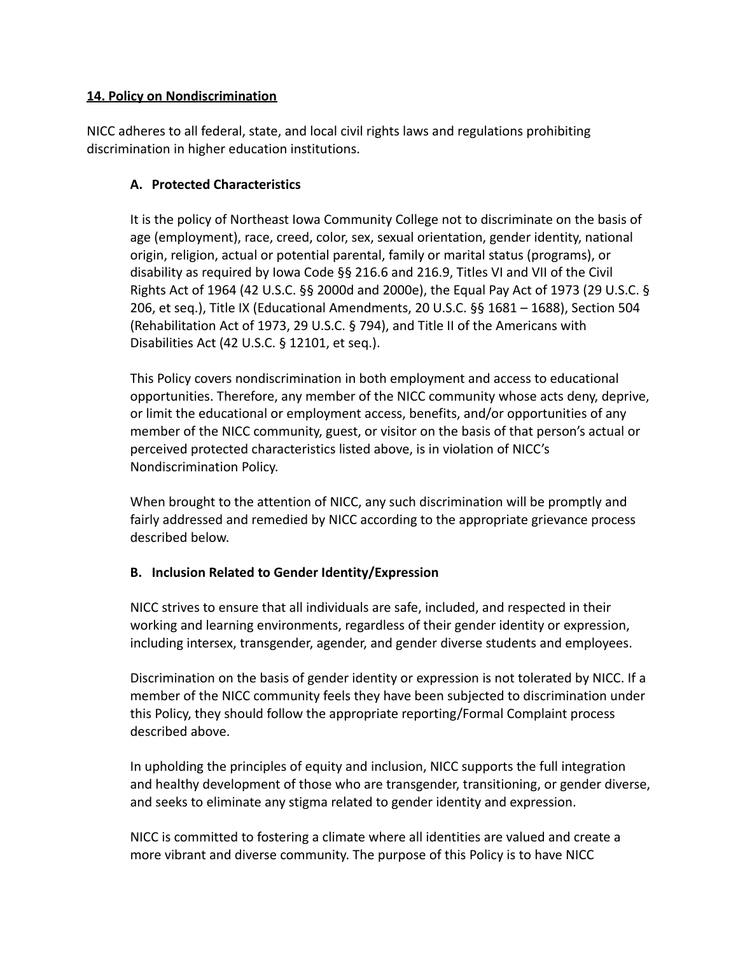## **14. Policy on Nondiscrimination**

NICC adheres to all federal, state, and local civil rights laws and regulations prohibiting discrimination in higher education institutions.

## **A. Protected Characteristics**

It is the policy of Northeast Iowa Community College not to discriminate on the basis of age (employment), race, creed, color, sex, sexual orientation, gender identity, national origin, religion, actual or potential parental, family or marital status (programs), or disability as required by Iowa Code §§ 216.6 and 216.9, Titles VI and VII of the Civil Rights Act of 1964 (42 U.S.C. §§ 2000d and 2000e), the Equal Pay Act of 1973 (29 U.S.C. § 206, et seq.), Title IX (Educational Amendments, 20 U.S.C. §§ 1681 – 1688), Section 504 (Rehabilitation Act of 1973, 29 U.S.C. § 794), and Title II of the Americans with Disabilities Act (42 U.S.C. § 12101, et seq.).

This Policy covers nondiscrimination in both employment and access to educational opportunities. Therefore, any member of the NICC community whose acts deny, deprive, or limit the educational or employment access, benefits, and/or opportunities of any member of the NICC community, guest, or visitor on the basis of that person's actual or perceived protected characteristics listed above, is in violation of NICC's Nondiscrimination Policy.

When brought to the attention of NICC, any such discrimination will be promptly and fairly addressed and remedied by NICC according to the appropriate grievance process described below.

# **B. Inclusion Related to Gender Identity/Expression**

NICC strives to ensure that all individuals are safe, included, and respected in their working and learning environments, regardless of their gender identity or expression, including intersex, transgender, agender, and gender diverse students and employees.

Discrimination on the basis of gender identity or expression is not tolerated by NICC. If a member of the NICC community feels they have been subjected to discrimination under this Policy, they should follow the appropriate reporting/Formal Complaint process described above.

In upholding the principles of equity and inclusion, NICC supports the full integration and healthy development of those who are transgender, transitioning, or gender diverse, and seeks to eliminate any stigma related to gender identity and expression.

NICC is committed to fostering a climate where all identities are valued and create a more vibrant and diverse community. The purpose of this Policy is to have NICC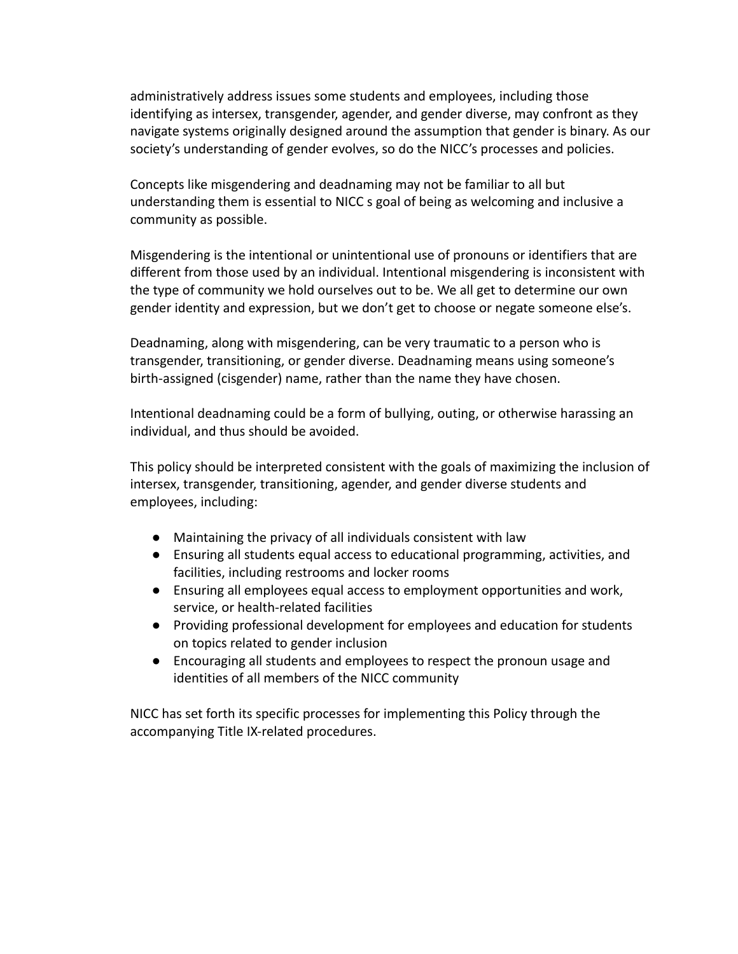administratively address issues some students and employees, including those identifying as intersex, transgender, agender, and gender diverse, may confront as they navigate systems originally designed around the assumption that gender is binary. As our society's understanding of gender evolves, so do the NICC's processes and policies.

Concepts like misgendering and deadnaming may not be familiar to all but understanding them is essential to NICC s goal of being as welcoming and inclusive a community as possible.

Misgendering is the intentional or unintentional use of pronouns or identifiers that are different from those used by an individual. Intentional misgendering is inconsistent with the type of community we hold ourselves out to be. We all get to determine our own gender identity and expression, but we don't get to choose or negate someone else's.

Deadnaming, along with misgendering, can be very traumatic to a person who is transgender, transitioning, or gender diverse. Deadnaming means using someone's birth-assigned (cisgender) name, rather than the name they have chosen.

Intentional deadnaming could be a form of bullying, outing, or otherwise harassing an individual, and thus should be avoided.

This policy should be interpreted consistent with the goals of maximizing the inclusion of intersex, transgender, transitioning, agender, and gender diverse students and employees, including:

- Maintaining the privacy of all individuals consistent with law
- Ensuring all students equal access to educational programming, activities, and facilities, including restrooms and locker rooms
- Ensuring all employees equal access to employment opportunities and work, service, or health-related facilities
- Providing professional development for employees and education for students on topics related to gender inclusion
- Encouraging all students and employees to respect the pronoun usage and identities of all members of the NICC community

NICC has set forth its specific processes for implementing this Policy through the accompanying Title IX-related procedures.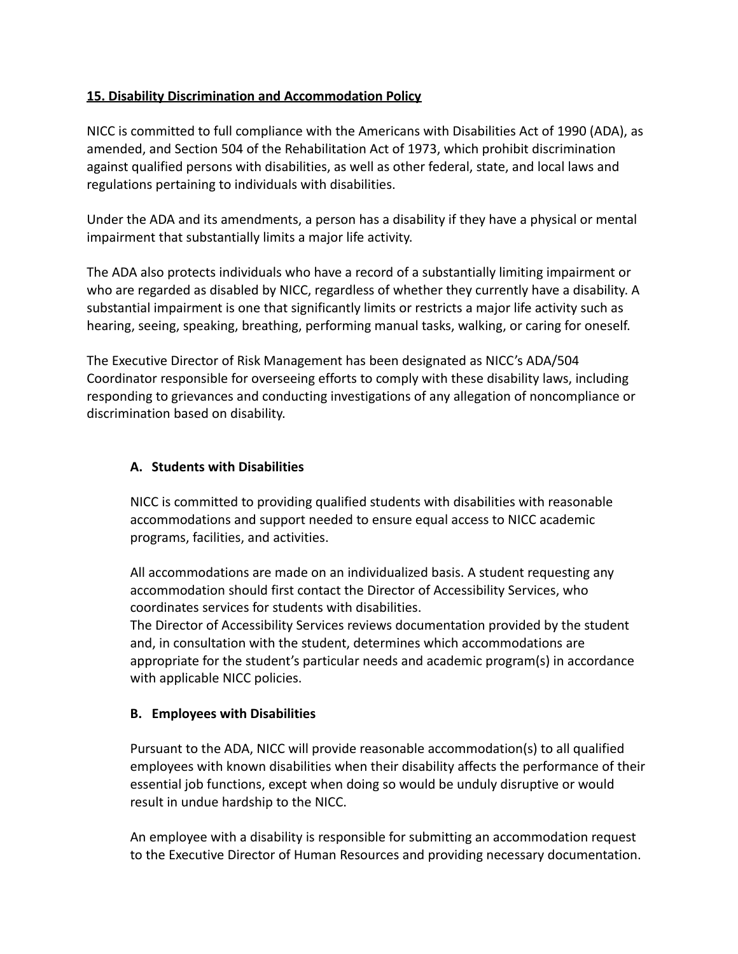## **15. Disability Discrimination and Accommodation Policy**

NICC is committed to full compliance with the Americans with Disabilities Act of 1990 (ADA), as amended, and Section 504 of the Rehabilitation Act of 1973, which prohibit discrimination against qualified persons with disabilities, as well as other federal, state, and local laws and regulations pertaining to individuals with disabilities.

Under the ADA and its amendments, a person has a disability if they have a physical or mental impairment that substantially limits a major life activity.

The ADA also protects individuals who have a record of a substantially limiting impairment or who are regarded as disabled by NICC, regardless of whether they currently have a disability. A substantial impairment is one that significantly limits or restricts a major life activity such as hearing, seeing, speaking, breathing, performing manual tasks, walking, or caring for oneself.

The Executive Director of Risk Management has been designated as NICC's ADA/504 Coordinator responsible for overseeing efforts to comply with these disability laws, including responding to grievances and conducting investigations of any allegation of noncompliance or discrimination based on disability.

### **A. Students with Disabilities**

NICC is committed to providing qualified students with disabilities with reasonable accommodations and support needed to ensure equal access to NICC academic programs, facilities, and activities.

All accommodations are made on an individualized basis. A student requesting any accommodation should first contact the Director of Accessibility Services, who coordinates services for students with disabilities.

The Director of Accessibility Services reviews documentation provided by the student and, in consultation with the student, determines which accommodations are appropriate for the student's particular needs and academic program(s) in accordance with applicable NICC policies.

#### **B. Employees with Disabilities**

Pursuant to the ADA, NICC will provide reasonable accommodation(s) to all qualified employees with known disabilities when their disability affects the performance of their essential job functions, except when doing so would be unduly disruptive or would result in undue hardship to the NICC.

An employee with a disability is responsible for submitting an accommodation request to the Executive Director of Human Resources and providing necessary documentation.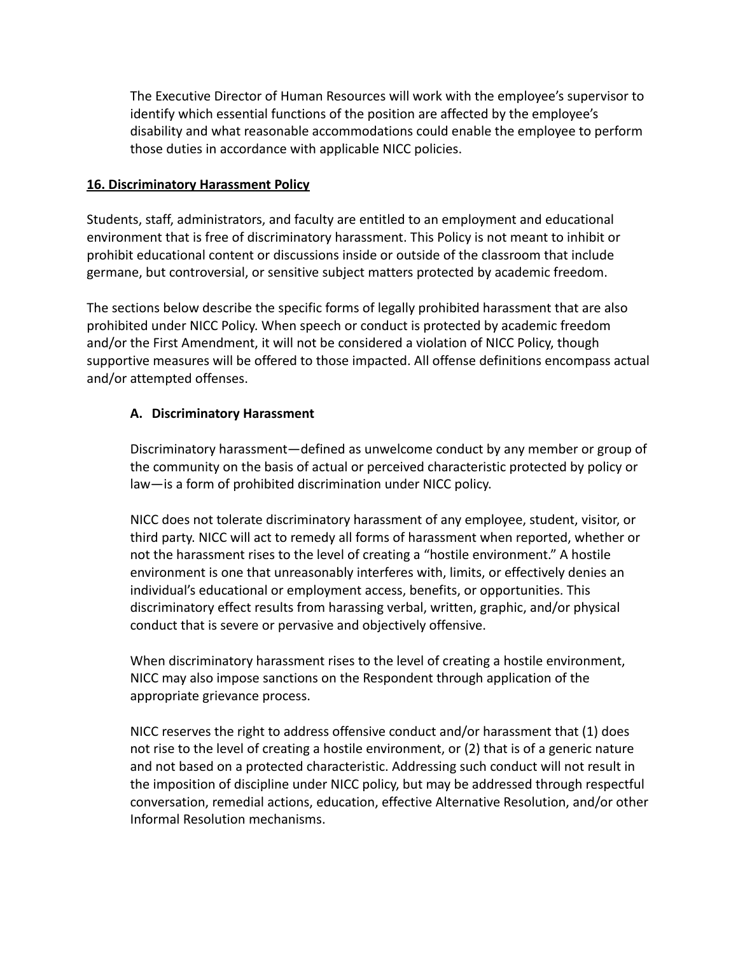The Executive Director of Human Resources will work with the employee's supervisor to identify which essential functions of the position are affected by the employee's disability and what reasonable accommodations could enable the employee to perform those duties in accordance with applicable NICC policies.

#### **16. Discriminatory Harassment Policy**

Students, staff, administrators, and faculty are entitled to an employment and educational environment that is free of discriminatory harassment. This Policy is not meant to inhibit or prohibit educational content or discussions inside or outside of the classroom that include germane, but controversial, or sensitive subject matters protected by academic freedom.

The sections below describe the specific forms of legally prohibited harassment that are also prohibited under NICC Policy. When speech or conduct is protected by academic freedom and/or the First Amendment, it will not be considered a violation of NICC Policy, though supportive measures will be offered to those impacted. All offense definitions encompass actual and/or attempted offenses.

# **A. Discriminatory Harassment**

Discriminatory harassment—defined as unwelcome conduct by any member or group of the community on the basis of actual or perceived characteristic protected by policy or law—is a form of prohibited discrimination under NICC policy.

NICC does not tolerate discriminatory harassment of any employee, student, visitor, or third party. NICC will act to remedy all forms of harassment when reported, whether or not the harassment rises to the level of creating a "hostile environment." A hostile environment is one that unreasonably interferes with, limits, or effectively denies an individual's educational or employment access, benefits, or opportunities. This discriminatory effect results from harassing verbal, written, graphic, and/or physical conduct that is severe or pervasive and objectively offensive.

When discriminatory harassment rises to the level of creating a hostile environment, NICC may also impose sanctions on the Respondent through application of the appropriate grievance process.

NICC reserves the right to address offensive conduct and/or harassment that (1) does not rise to the level of creating a hostile environment, or (2) that is of a generic nature and not based on a protected characteristic. Addressing such conduct will not result in the imposition of discipline under NICC policy, but may be addressed through respectful conversation, remedial actions, education, effective Alternative Resolution, and/or other Informal Resolution mechanisms.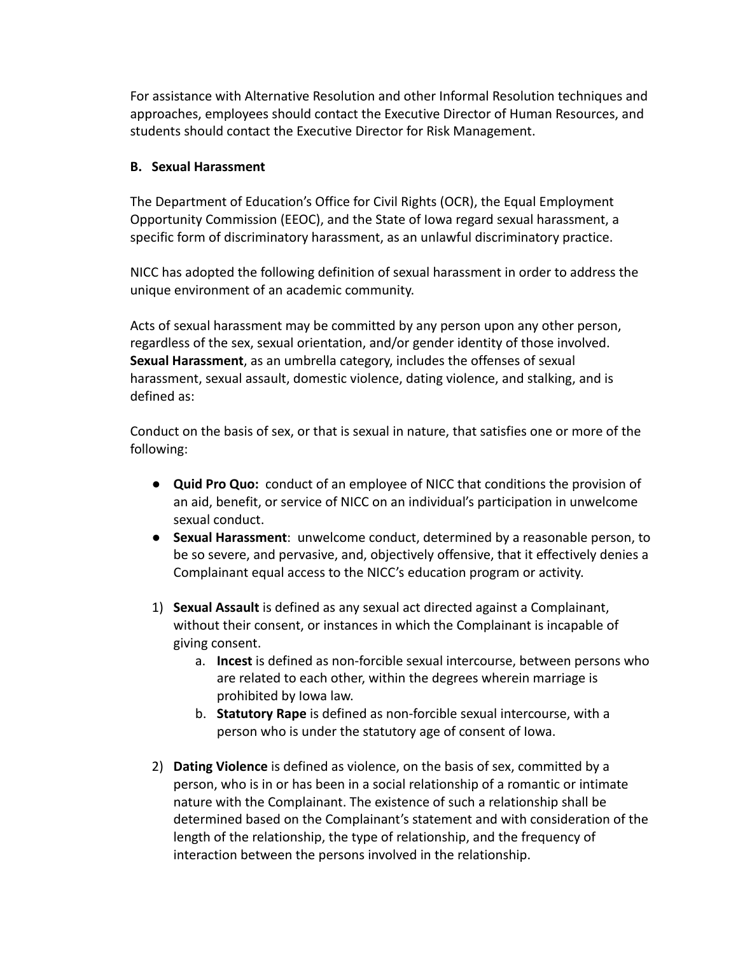For assistance with Alternative Resolution and other Informal Resolution techniques and approaches, employees should contact the Executive Director of Human Resources, and students should contact the Executive Director for Risk Management.

#### **B. Sexual Harassment**

The Department of Education's Office for Civil Rights (OCR), the Equal Employment Opportunity Commission (EEOC), and the State of Iowa regard sexual harassment, a specific form of discriminatory harassment, as an unlawful discriminatory practice.

NICC has adopted the following definition of sexual harassment in order to address the unique environment of an academic community.

Acts of sexual harassment may be committed by any person upon any other person, regardless of the sex, sexual orientation, and/or gender identity of those involved. **Sexual Harassment**, as an umbrella category, includes the offenses of sexual harassment, sexual assault, domestic violence, dating violence, and stalking, and is defined as:

Conduct on the basis of sex, or that is sexual in nature, that satisfies one or more of the following:

- **Quid Pro Quo:** conduct of an employee of NICC that conditions the provision of an aid, benefit, or service of NICC on an individual's participation in unwelcome sexual conduct.
- **Sexual Harassment**: unwelcome conduct, determined by a reasonable person, to be so severe, and pervasive, and, objectively offensive, that it effectively denies a Complainant equal access to the NICC's education program or activity.
- 1) **Sexual Assault** is defined as any sexual act directed against a Complainant, without their consent, or instances in which the Complainant is incapable of giving consent.
	- a. **Incest** is defined as non-forcible sexual intercourse, between persons who are related to each other, within the degrees wherein marriage is prohibited by Iowa law.
	- b. **Statutory Rape** is defined as non-forcible sexual intercourse, with a person who is under the statutory age of consent of Iowa.
- 2) **Dating Violence** is defined as violence, on the basis of sex, committed by a person, who is in or has been in a social relationship of a romantic or intimate nature with the Complainant. The existence of such a relationship shall be determined based on the Complainant's statement and with consideration of the length of the relationship, the type of relationship, and the frequency of interaction between the persons involved in the relationship.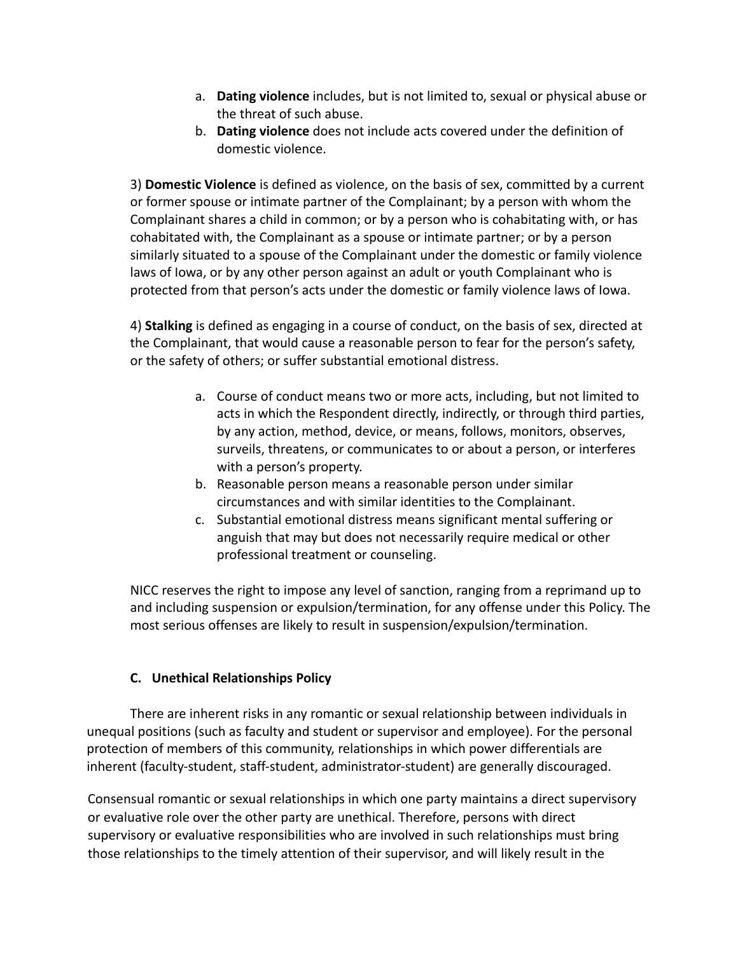- a. **Dating violence** includes, but is not limited to, sexual or physical abuse or the threat of such abuse.
- b. **Dating violence** does not include acts covered under the definition of domestic violence.

3) **Domestic Violence** is defined as violence, on the basis of sex, committed by a current or former spouse or intimate partner of the Complainant; by a person with whom the Complainant shares a child in common; or by a person who is cohabitating with, or has cohabitated with, the Complainant as a spouse or intimate partner; or by a person similarly situated to a spouse of the Complainant under the domestic or family violence laws of Iowa, or by any other person against an adult or youth Complainant who is protected from that person's acts under the domestic or family violence laws of Iowa.

4) **Stalking** is defined as engaging in a course of conduct, on the basis of sex, directed at the Complainant, that would cause a reasonable person to fear for the person's safety, or the safety of others; or suffer substantial emotional distress.

- a. Course of conduct means two or more acts, including, but not limited to acts in which the Respondent directly, indirectly, or through third parties, by any action, method, device, or means, follows, monitors, observes, surveils, threatens, or communicates to or about a person, or interferes with a person's property.
- b. Reasonable person means a reasonable person under similar circumstances and with similar identities to the Complainant.
- c. Substantial emotional distress means significant mental suffering or anguish that may but does not necessarily require medical or other professional treatment or counseling.

NICC reserves the right to impose any level of sanction, ranging from a reprimand up to and including suspension or expulsion/termination, for any offense under this Policy. The most serious offenses are likely to result in suspension/expulsion/termination.

# **C. Unethical Relationships Policy**

There are inherent risks in any romantic or sexual relationship between individuals in unequal positions (such as faculty and student or supervisor and employee). For the personal protection of members of this community, relationships in which power differentials are inherent (faculty-student, staff-student, administrator-student) are generally discouraged.

Consensual romantic or sexual relationships in which one party maintains a direct supervisory or evaluative role over the other party are unethical. Therefore, persons with direct supervisory or evaluative responsibilities who are involved in such relationships must bring those relationships to the timely attention of their supervisor, and will likely result in the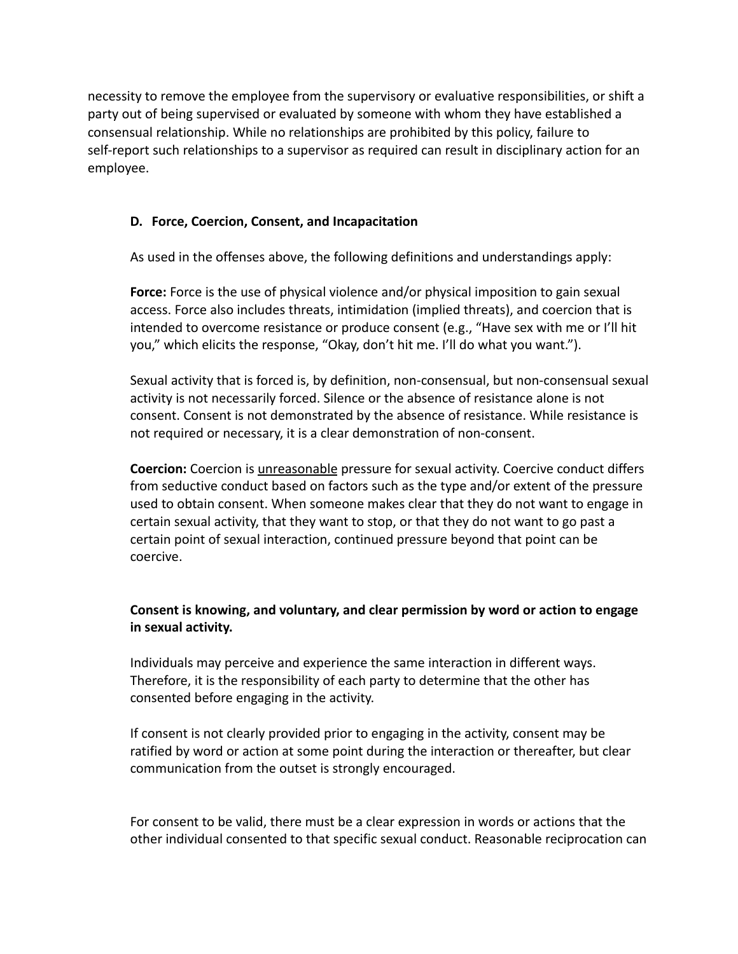necessity to remove the employee from the supervisory or evaluative responsibilities, or shift a party out of being supervised or evaluated by someone with whom they have established a consensual relationship. While no relationships are prohibited by this policy, failure to self-report such relationships to a supervisor as required can result in disciplinary action for an employee.

# **D. Force, Coercion, Consent, and Incapacitation**

As used in the offenses above, the following definitions and understandings apply:

**Force:** Force is the use of physical violence and/or physical imposition to gain sexual access. Force also includes threats, intimidation (implied threats), and coercion that is intended to overcome resistance or produce consent (e.g., "Have sex with me or I'll hit you," which elicits the response, "Okay, don't hit me. I'll do what you want.").

Sexual activity that is forced is, by definition, non-consensual, but non-consensual sexual activity is not necessarily forced. Silence or the absence of resistance alone is not consent. Consent is not demonstrated by the absence of resistance. While resistance is not required or necessary, it is a clear demonstration of non-consent.

**Coercion:** Coercion is unreasonable pressure for sexual activity. Coercive conduct differs from seductive conduct based on factors such as the type and/or extent of the pressure used to obtain consent. When someone makes clear that they do not want to engage in certain sexual activity, that they want to stop, or that they do not want to go past a certain point of sexual interaction, continued pressure beyond that point can be coercive.

# **Consent is knowing, and voluntary, and clear permission by word or action to engage in sexual activity.**

Individuals may perceive and experience the same interaction in different ways. Therefore, it is the responsibility of each party to determine that the other has consented before engaging in the activity.

If consent is not clearly provided prior to engaging in the activity, consent may be ratified by word or action at some point during the interaction or thereafter, but clear communication from the outset is strongly encouraged.

For consent to be valid, there must be a clear expression in words or actions that the other individual consented to that specific sexual conduct. Reasonable reciprocation can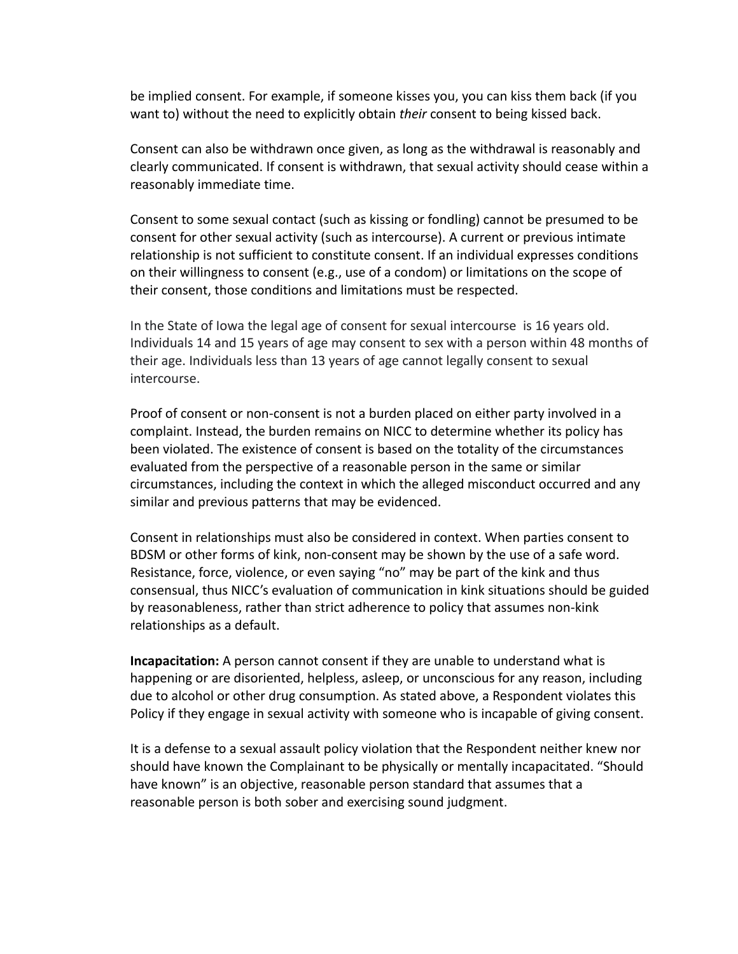be implied consent. For example, if someone kisses you, you can kiss them back (if you want to) without the need to explicitly obtain *their* consent to being kissed back.

Consent can also be withdrawn once given, as long as the withdrawal is reasonably and clearly communicated. If consent is withdrawn, that sexual activity should cease within a reasonably immediate time.

Consent to some sexual contact (such as kissing or fondling) cannot be presumed to be consent for other sexual activity (such as intercourse). A current or previous intimate relationship is not sufficient to constitute consent. If an individual expresses conditions on their willingness to consent (e.g., use of a condom) or limitations on the scope of their consent, those conditions and limitations must be respected.

In the State of Iowa the legal age of consent for sexual intercourse is 16 years old. Individuals 14 and 15 years of age may consent to sex with a person within 48 months of their age. Individuals less than 13 years of age cannot legally consent to sexual intercourse.

Proof of consent or non-consent is not a burden placed on either party involved in a complaint. Instead, the burden remains on NICC to determine whether its policy has been violated. The existence of consent is based on the totality of the circumstances evaluated from the perspective of a reasonable person in the same or similar circumstances, including the context in which the alleged misconduct occurred and any similar and previous patterns that may be evidenced.

Consent in relationships must also be considered in context. When parties consent to BDSM or other forms of kink, non-consent may be shown by the use of a safe word. Resistance, force, violence, or even saying "no" may be part of the kink and thus consensual, thus NICC's evaluation of communication in kink situations should be guided by reasonableness, rather than strict adherence to policy that assumes non-kink relationships as a default.

**Incapacitation:** A person cannot consent if they are unable to understand what is happening or are disoriented, helpless, asleep, or unconscious for any reason, including due to alcohol or other drug consumption. As stated above, a Respondent violates this Policy if they engage in sexual activity with someone who is incapable of giving consent.

It is a defense to a sexual assault policy violation that the Respondent neither knew nor should have known the Complainant to be physically or mentally incapacitated. "Should have known" is an objective, reasonable person standard that assumes that a reasonable person is both sober and exercising sound judgment.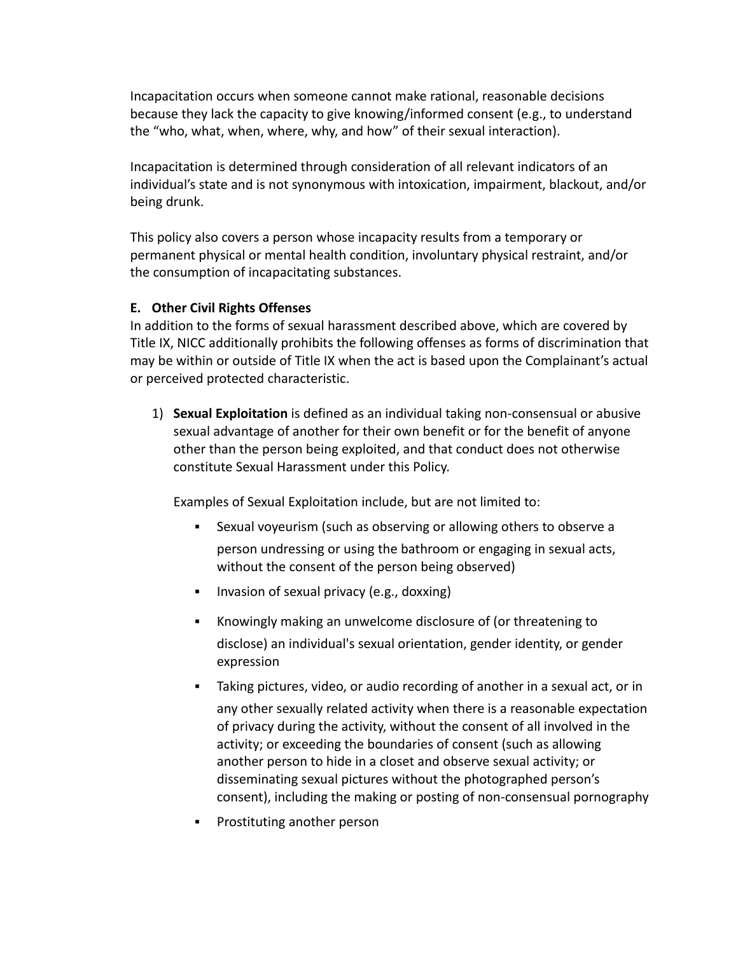Incapacitation occurs when someone cannot make rational, reasonable decisions because they lack the capacity to give knowing/informed consent (e.g., to understand the "who, what, when, where, why, and how" of their sexual interaction).

Incapacitation is determined through consideration of all relevant indicators of an individual's state and is not synonymous with intoxication, impairment, blackout, and/or being drunk.

This policy also covers a person whose incapacity results from a temporary or permanent physical or mental health condition, involuntary physical restraint, and/or the consumption of incapacitating substances.

### **E. Other Civil Rights Offenses**

In addition to the forms of sexual harassment described above, which are covered by Title IX, NICC additionally prohibits the following offenses as forms of discrimination that may be within or outside of Title IX when the act is based upon the Complainant's actual or perceived protected characteristic.

1) **Sexual Exploitation** is defined as an individual taking non-consensual or abusive sexual advantage of another for their own benefit or for the benefit of anyone other than the person being exploited, and that conduct does not otherwise constitute Sexual Harassment under this Policy.

Examples of Sexual Exploitation include, but are not limited to:

- Sexual voyeurism (such as observing or allowing others to observe a person undressing or using the bathroom or engaging in sexual acts, without the consent of the person being observed)
- **E** Invasion of sexual privacy (e.g., doxxing)
- Knowingly making an unwelcome disclosure of (or threatening to disclose) an individual's sexual orientation, gender identity, or gender expression
- Taking pictures, video, or audio recording of another in a sexual act, or in any other sexually related activity when there is a reasonable expectation of privacy during the activity, without the consent of all involved in the activity; or exceeding the boundaries of consent (such as allowing another person to hide in a closet and observe sexual activity; or disseminating sexual pictures without the photographed person's consent), including the making or posting of non-consensual pornography
- Prostituting another person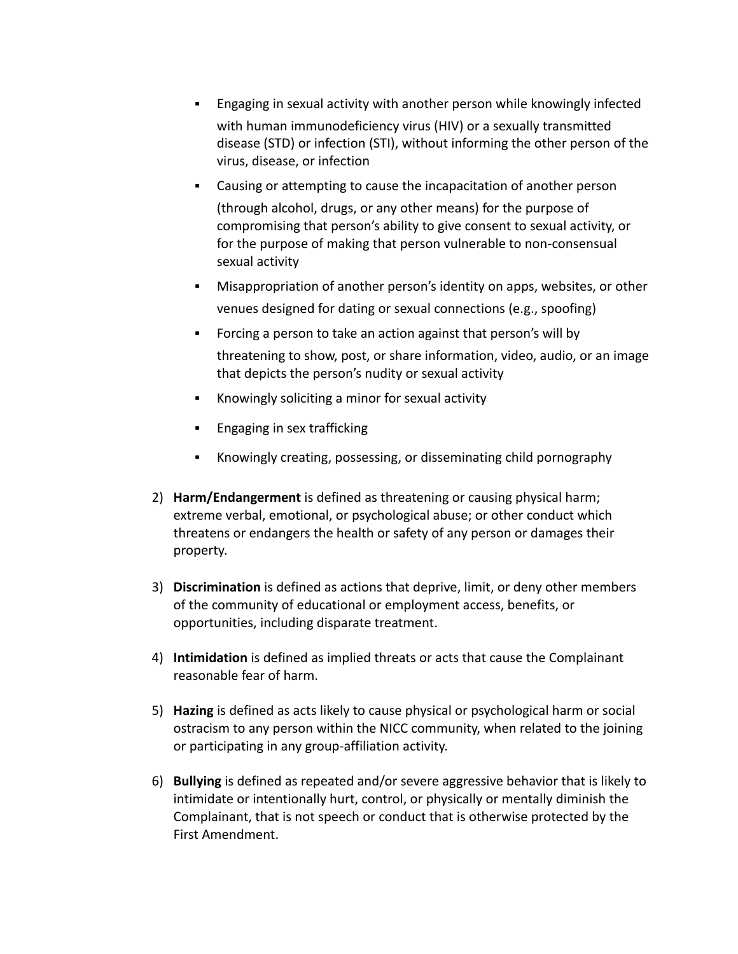- Engaging in sexual activity with another person while knowingly infected with human immunodeficiency virus (HIV) or a sexually transmitted disease (STD) or infection (STI), without informing the other person of the virus, disease, or infection
- Causing or attempting to cause the incapacitation of another person (through alcohol, drugs, or any other means) for the purpose of compromising that person's ability to give consent to sexual activity, or for the purpose of making that person vulnerable to non-consensual sexual activity
- Misappropriation of another person's identity on apps, websites, or other venues designed for dating or sexual connections (e.g., spoofing)
- Forcing a person to take an action against that person's will by threatening to show, post, or share information, video, audio, or an image that depicts the person's nudity or sexual activity
- Knowingly soliciting a minor for sexual activity
- Engaging in sex trafficking
- Knowingly creating, possessing, or disseminating child pornography
- 2) **Harm/Endangerment** is defined as threatening or causing physical harm; extreme verbal, emotional, or psychological abuse; or other conduct which threatens or endangers the health or safety of any person or damages their property.
- 3) **Discrimination** is defined as actions that deprive, limit, or deny other members of the community of educational or employment access, benefits, or opportunities, including disparate treatment.
- 4) **Intimidation** is defined as implied threats or acts that cause the Complainant reasonable fear of harm.
- 5) **Hazing** is defined as acts likely to cause physical or psychological harm or social ostracism to any person within the NICC community, when related to the joining or participating in any group-affiliation activity.
- 6) **Bullying** is defined as repeated and/or severe aggressive behavior that is likely to intimidate or intentionally hurt, control, or physically or mentally diminish the Complainant, that is not speech or conduct that is otherwise protected by the First Amendment.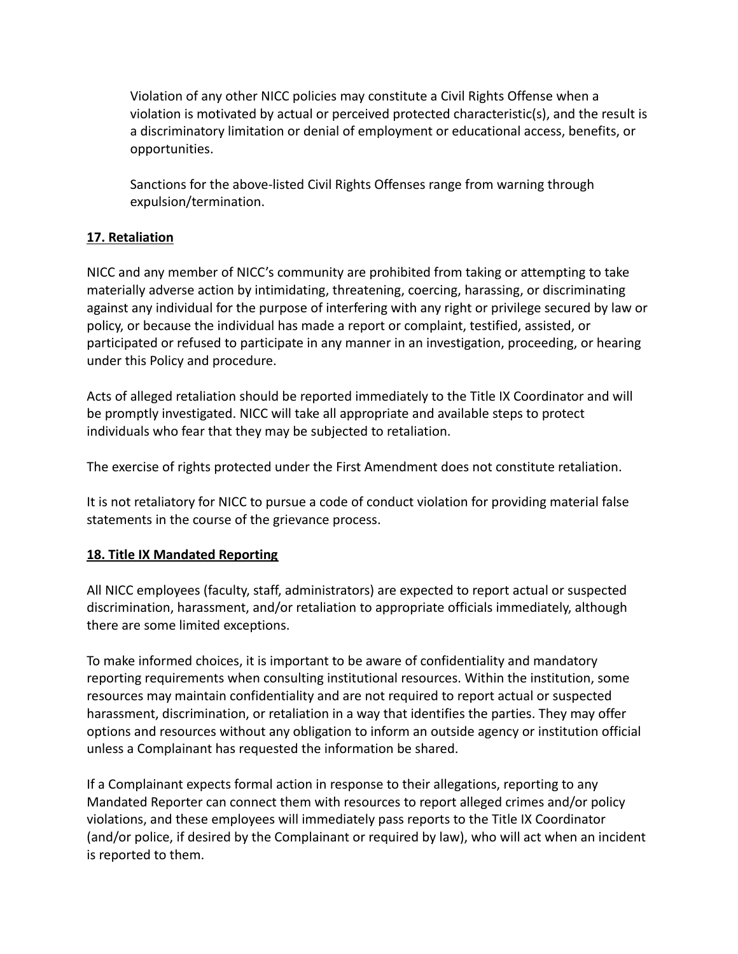Violation of any other NICC policies may constitute a Civil Rights Offense when a violation is motivated by actual or perceived protected characteristic(s), and the result is a discriminatory limitation or denial of employment or educational access, benefits, or opportunities.

Sanctions for the above-listed Civil Rights Offenses range from warning through expulsion/termination.

# **17. Retaliation**

NICC and any member of NICC's community are prohibited from taking or attempting to take materially adverse action by intimidating, threatening, coercing, harassing, or discriminating against any individual for the purpose of interfering with any right or privilege secured by law or policy, or because the individual has made a report or complaint, testified, assisted, or participated or refused to participate in any manner in an investigation, proceeding, or hearing under this Policy and procedure.

Acts of alleged retaliation should be reported immediately to the Title IX Coordinator and will be promptly investigated. NICC will take all appropriate and available steps to protect individuals who fear that they may be subjected to retaliation.

The exercise of rights protected under the First Amendment does not constitute retaliation.

It is not retaliatory for NICC to pursue a code of conduct violation for providing material false statements in the course of the grievance process.

# <span id="page-21-0"></span>**18. Title IX Mandated Reporting**

All NICC employees (faculty, staff, administrators) are expected to report actual or suspected discrimination, harassment, and/or retaliation to appropriate officials immediately, although there are some limited exceptions.

To make informed choices, it is important to be aware of confidentiality and mandatory reporting requirements when consulting institutional resources. Within the institution, some resources may maintain confidentiality and are not required to report actual or suspected harassment, discrimination, or retaliation in a way that identifies the parties. They may offer options and resources without any obligation to inform an outside agency or institution official unless a Complainant has requested the information be shared.

If a Complainant expects formal action in response to their allegations, reporting to any Mandated Reporter can connect them with resources to report alleged crimes and/or policy violations, and these employees will immediately pass reports to the Title IX Coordinator (and/or police, if desired by the Complainant or required by law), who will act when an incident is reported to them.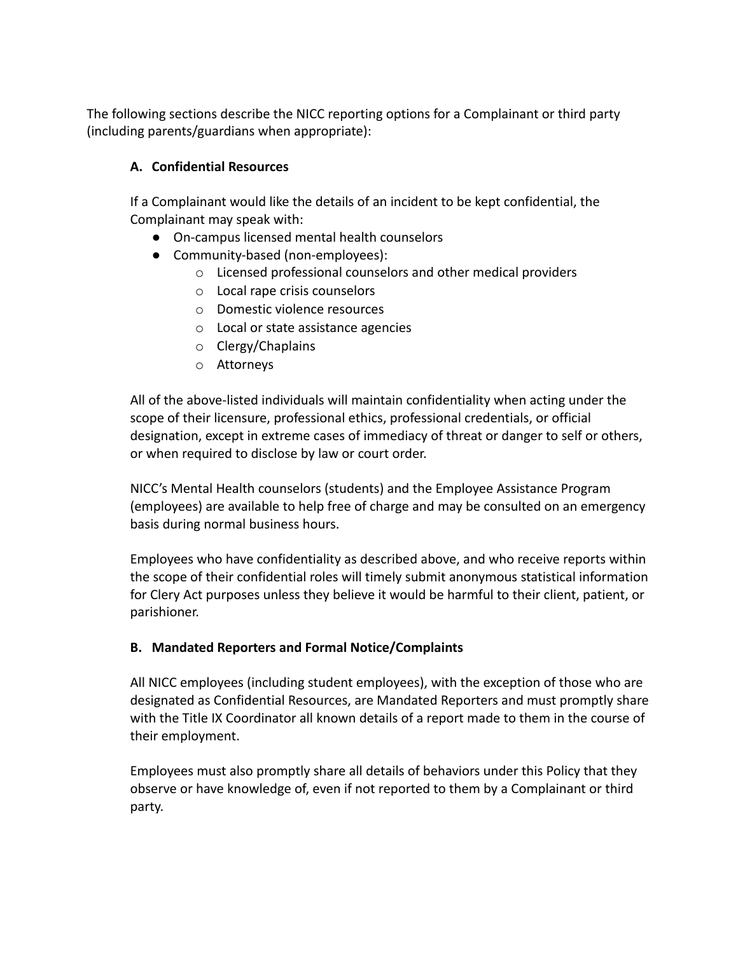The following sections describe the NICC reporting options for a Complainant or third party (including parents/guardians when appropriate):

# **A. Confidential Resources**

If a Complainant would like the details of an incident to be kept confidential, the Complainant may speak with:

- On-campus licensed mental health counselors
- Community-based (non-employees):
	- o Licensed professional counselors and other medical providers
	- o Local rape crisis counselors
	- o Domestic violence resources
	- o Local or state assistance agencies
	- o Clergy/Chaplains
	- o Attorneys

All of the above-listed individuals will maintain confidentiality when acting under the scope of their licensure, professional ethics, professional credentials, or official designation, except in extreme cases of immediacy of threat or danger to self or others, or when required to disclose by law or court order.

NICC's Mental Health counselors (students) and the Employee Assistance Program (employees) are available to help free of charge and may be consulted on an emergency basis during normal business hours.

Employees who have confidentiality as described above, and who receive reports within the scope of their confidential roles will timely submit anonymous statistical information for Clery Act purposes unless they believe it would be harmful to their client, patient, or parishioner.

# **B. Mandated Reporters and Formal Notice/Complaints**

All NICC employees (including student employees), with the exception of those who are designated as Confidential Resources, are Mandated Reporters and must promptly share with the Title IX Coordinator all known details of a report made to them in the course of their employment.

Employees must also promptly share all details of behaviors under this Policy that they observe or have knowledge of, even if not reported to them by a Complainant or third party.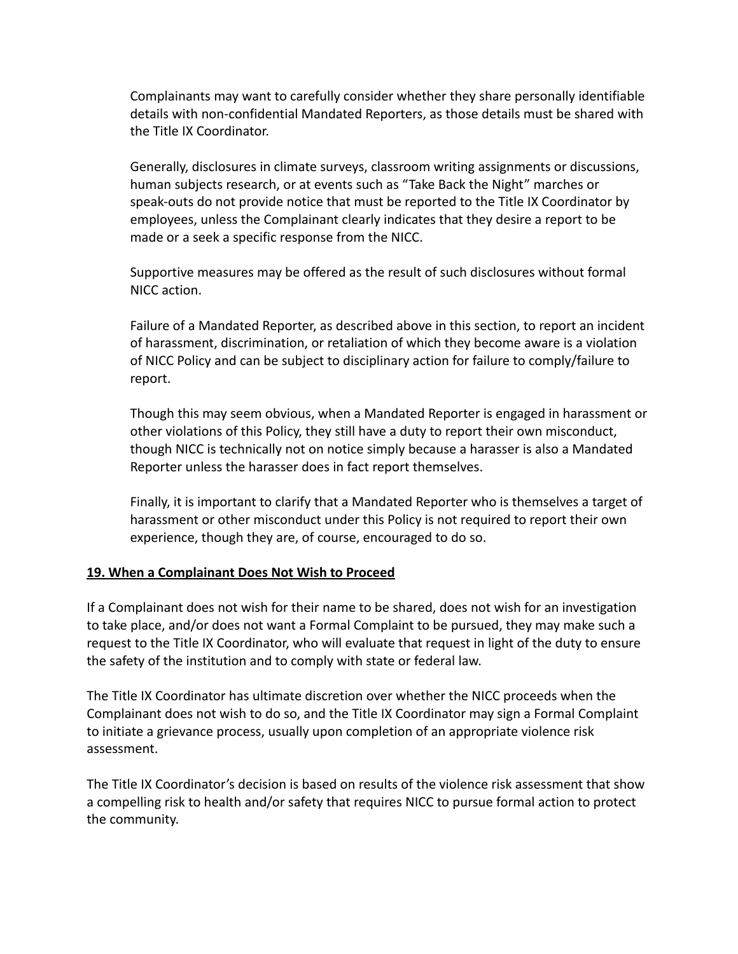Complainants may want to carefully consider whether they share personally identifiable details with non-confidential Mandated Reporters, as those details must be shared with the Title IX Coordinator.

Generally, disclosures in climate surveys, classroom writing assignments or discussions, human subjects research, or at events such as "Take Back the Night" marches or speak-outs do not provide notice that must be reported to the Title IX Coordinator by employees, unless the Complainant clearly indicates that they desire a report to be made or a seek a specific response from the NICC.

Supportive measures may be offered as the result of such disclosures without formal NICC action.

Failure of a Mandated Reporter, as described above in this section, to report an incident of harassment, discrimination, or retaliation of which they become aware is a violation of NICC Policy and can be subject to disciplinary action for failure to comply/failure to report.

Though this may seem obvious, when a Mandated Reporter is engaged in harassment or other violations of this Policy, they still have a duty to report their own misconduct, though NICC is technically not on notice simply because a harasser is also a Mandated Reporter unless the harasser does in fact report themselves.

Finally, it is important to clarify that a Mandated Reporter who is themselves a target of harassment or other misconduct under this Policy is not required to report their own experience, though they are, of course, encouraged to do so.

#### **19. When a Complainant Does Not Wish to Proceed**

If a Complainant does not wish for their name to be shared, does not wish for an investigation to take place, and/or does not want a Formal Complaint to be pursued, they may make such a request to the Title IX Coordinator, who will evaluate that request in light of the duty to ensure the safety of the institution and to comply with state or federal law.

The Title IX Coordinator has ultimate discretion over whether the NICC proceeds when the Complainant does not wish to do so, and the Title IX Coordinator may sign a Formal Complaint to initiate a grievance process, usually upon completion of an appropriate violence risk assessment.

The Title IX Coordinator's decision is based on results of the violence risk assessment that show a compelling risk to health and/or safety that requires NICC to pursue formal action to protect the community.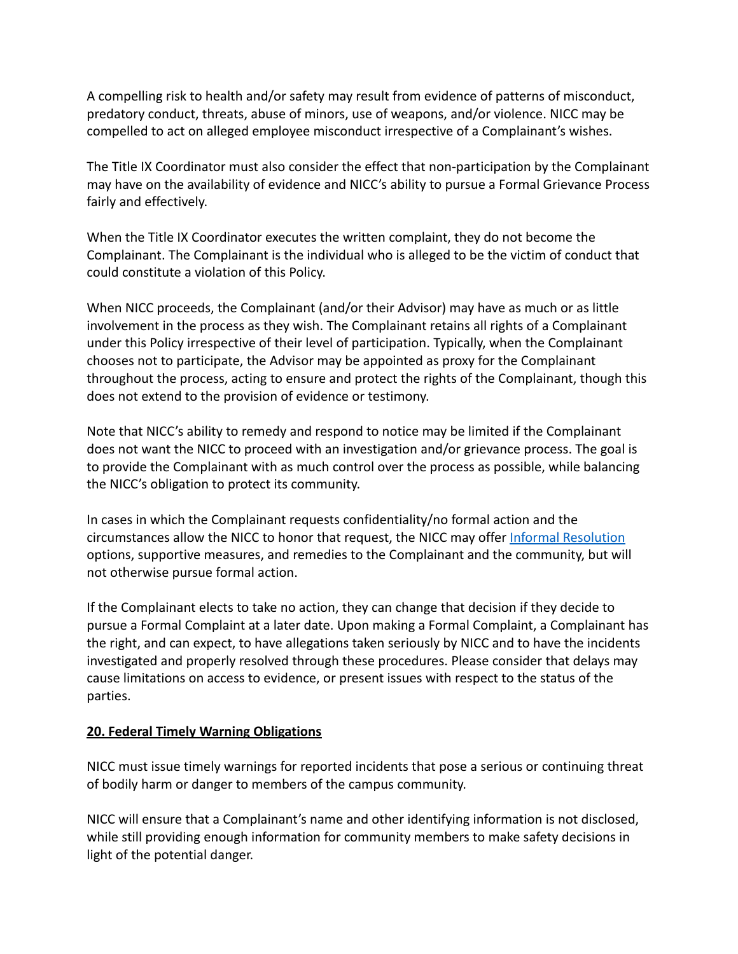A compelling risk to health and/or safety may result from evidence of patterns of misconduct, predatory conduct, threats, abuse of minors, use of weapons, and/or violence. NICC may be compelled to act on alleged employee misconduct irrespective of a Complainant's wishes.

The Title IX Coordinator must also consider the effect that non-participation by the Complainant may have on the availability of evidence and NICC's ability to pursue a Formal Grievance Process fairly and effectively.

When the Title IX Coordinator executes the written complaint, they do not become the Complainant. The Complainant is the individual who is alleged to be the victim of conduct that could constitute a violation of this Policy.

When NICC proceeds, the Complainant (and/or their Advisor) may have as much or as little involvement in the process as they wish. The Complainant retains all rights of a Complainant under this Policy irrespective of their level of participation. Typically, when the Complainant chooses not to participate, the Advisor may be appointed as proxy for the Complainant throughout the process, acting to ensure and protect the rights of the Complainant, though this does not extend to the provision of evidence or testimony.

Note that NICC's ability to remedy and respond to notice may be limited if the Complainant does not want the NICC to proceed with an investigation and/or grievance process. The goal is to provide the Complainant with as much control over the process as possible, while balancing the NICC's obligation to protect its community.

In cases in which the Complainant requests confidentiality/no formal action and the circumstances allow the NICC to honor that request, the NICC may offer [Informal Resolution](https://docs.google.com/document/d/1OYgfKyA-nY8efiZYSYPEy5fV2sOTVx6z/edit#heading=h.2r0uhxc) options, supportive measures, and remedies to the Complainant and the community, but will not otherwise pursue formal action.

If the Complainant elects to take no action, they can change that decision if they decide to pursue a Formal Complaint at a later date. Upon making a Formal Complaint, a Complainant has the right, and can expect, to have allegations taken seriously by NICC and to have the incidents investigated and properly resolved through these procedures. Please consider that delays may cause limitations on access to evidence, or present issues with respect to the status of the parties.

# **20. Federal Timely Warning Obligations**

NICC must issue timely warnings for reported incidents that pose a serious or continuing threat of bodily harm or danger to members of the campus community.

NICC will ensure that a Complainant's name and other identifying information is not disclosed, while still providing enough information for community members to make safety decisions in light of the potential danger.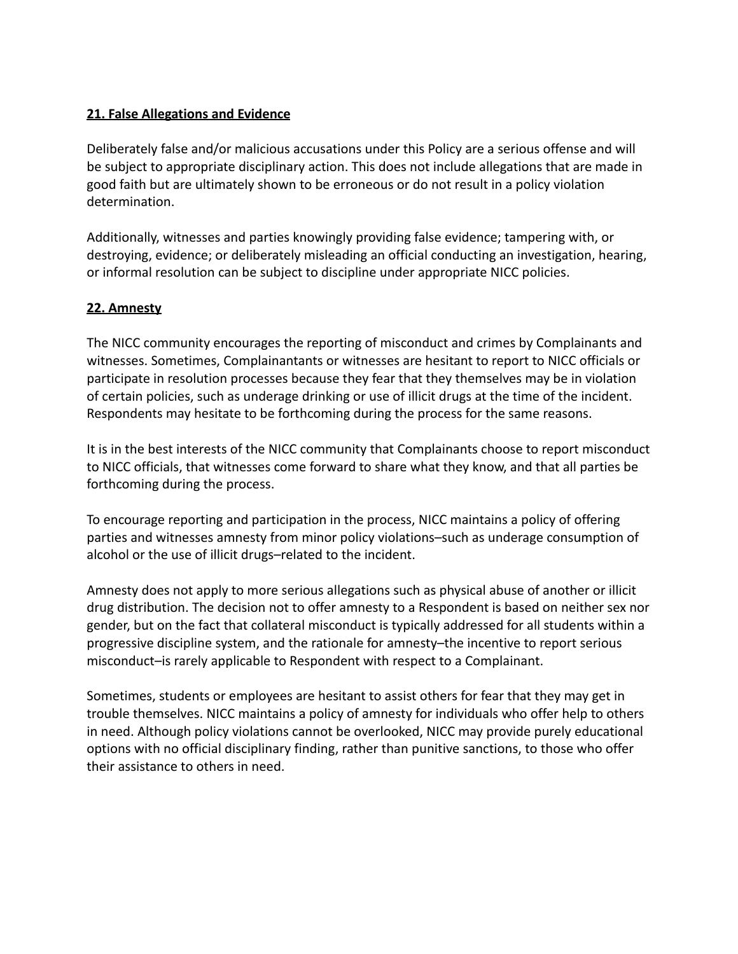# **21. False Allegations and Evidence**

Deliberately false and/or malicious accusations under this Policy are a serious offense and will be subject to appropriate disciplinary action. This does not include allegations that are made in good faith but are ultimately shown to be erroneous or do not result in a policy violation determination.

Additionally, witnesses and parties knowingly providing false evidence; tampering with, or destroying, evidence; or deliberately misleading an official conducting an investigation, hearing, or informal resolution can be subject to discipline under appropriate NICC policies.

### **22. Amnesty**

The NICC community encourages the reporting of misconduct and crimes by Complainants and witnesses. Sometimes, Complainantants or witnesses are hesitant to report to NICC officials or participate in resolution processes because they fear that they themselves may be in violation of certain policies, such as underage drinking or use of illicit drugs at the time of the incident. Respondents may hesitate to be forthcoming during the process for the same reasons.

It is in the best interests of the NICC community that Complainants choose to report misconduct to NICC officials, that witnesses come forward to share what they know, and that all parties be forthcoming during the process.

To encourage reporting and participation in the process, NICC maintains a policy of offering parties and witnesses amnesty from minor policy violations–such as underage consumption of alcohol or the use of illicit drugs–related to the incident.

Amnesty does not apply to more serious allegations such as physical abuse of another or illicit drug distribution. The decision not to offer amnesty to a Respondent is based on neither sex nor gender, but on the fact that collateral misconduct is typically addressed for all students within a progressive discipline system, and the rationale for amnesty–the incentive to report serious misconduct–is rarely applicable to Respondent with respect to a Complainant.

Sometimes, students or employees are hesitant to assist others for fear that they may get in trouble themselves. NICC maintains a policy of amnesty for individuals who offer help to others in need. Although policy violations cannot be overlooked, NICC may provide purely educational options with no official disciplinary finding, rather than punitive sanctions, to those who offer their assistance to others in need.